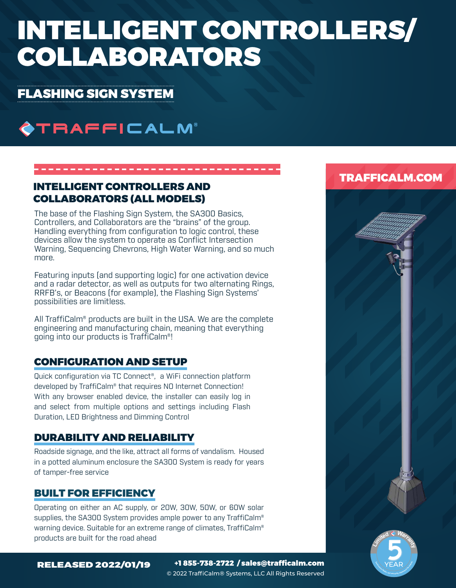# INTELLIGENT CONTROLLERS/ COLLABORATORS

## FLASHING SIGN SYSTEM

## **OTRAFFICALM®**

### INTELLIGENT CONTROLLERS AND COLLABORATORS (ALL MODELS)

The base of the Flashing Sign System, the SA300 Basics, Controllers, and Collaborators are the "brains" of the group. Handling everything from configuration to logic control, these devices allow the system to operate as Conflict Intersection Warning, Sequencing Chevrons, High Water Warning, and so much more.

Featuring inputs (and supporting logic) for one activation device and a radar detector, as well as outputs for two alternating Rings, RRFB's, or Beacons (for example), the Flashing Sign Systems' possibilities are limitless.

All TraffiCalm® products are built in the USA. We are the complete engineering and manufacturing chain, meaning that everything going into our products is TraffiCalm®!

## CONFIGURATION AND SETUP

Quick configuration via TC Connect®, a WiFi connection platform developed by TraffiCalm® that requires NO Internet Connection! With any browser enabled device, the installer can easily log in and select from multiple options and settings including Flash Duration, LED Brightness and Dimming Control

## DURABILITY AND RELIABILITY

Roadside signage, and the like, attract all forms of vandalism. Housed in a potted aluminum enclosure the SA300 System is ready for years of tamper-free service

## BUILT FOR EFFICIENCY

Operating on either an AC supply, or 20W, 30W, 50W, or 60W solar supplies, the SA300 System provides ample power to any TraffiCalm® warning device. Suitable for an extreme range of climates, TraffiCalm® products are built for the road ahead

## TRAFFICALM.COM



E AR MEAR

RELEASED 2022/01/19 +1 855-738-2722 / sales@trafficalm.com © 2022 TraffiCalm® Systems, LLC All Rights Reserved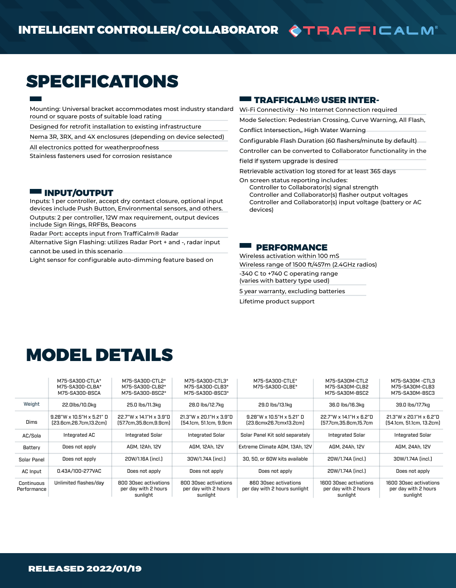## SPECIFICATIONS

Mounting: Universal bracket accommodates most industry standard round or square posts of suitable load rating

Designed for retrofit installation to existing infrastructure

Nema 3R, 3RX, and 4X enclosures (depending on device selected)

All electronics potted for weatherproofness

Stainless fasteners used for corrosion resistance

#### INPUT/OUTPUT

Inputs: 1 per controller, accept dry contact closure, optional input devices include Push Button, Environmental sensors, and others. Outputs: 2 per controller, 12W max requirement, output devices include Sign Rings, RRFBs, Beacons

Radar Port: accepts input from TraffiCalm® Radar

Alternative Sign Flashing: utilizes Radar Port + and -, radar input cannot be used in this scenario

Light sensor for configurable auto-dimming feature based on

#### $\blacksquare$  TRAFFICALM® USER INTER-

Wi-Fi Connectivity - No Internet Connection required

Mode Selection: Pedestrian Crossing, Curve Warning, All Flash,

Conflict Intersection,, High Water Warning

Configurable Flash Duration (60 flashers/minute by default)

Controller can be converted to Collaborator functionality in the

field if system upgrade is desired

Retrievable activation log stored for at least 365 days

On screen status reporting includes:

Controller to Collaborator(s) signal strength Controller and Collaborator(s) flasher output voltages Controller and Collaborator(s) input voltage (battery or AC devices)

#### **EE PERFORMANCE**

Wireless activation within 100 mS Wireless range of 1500 ft/457m (2.4GHz radios) -340 C to +740 C operating range (varies with battery type used)

5 year warranty, excluding batteries

Lifetime product support

## MODEL DETAILS

|                           | M75-SA300-CTLA*<br>M75-SA300-CLBA*<br>M75-SA300-BSCA   | M75-SA300-CTL2*<br>M75-SA300-CLB2*<br>M75-SA300-BSC2*     | M75-SA300-CTL3*<br>M75-SA300-CLB3*<br>M75-SA300-BSC3*     | M75-SA300-CTLE*<br>M75-SA300-CLBE*                     | M75-SA30M-CTL2<br>M75-SA30M-CLB2<br>M75-SA30M-BSC2         | M75-SA30M -CTL3<br>M75-SA30M-CLB3<br>M75-SA30M-BSC3        |
|---------------------------|--------------------------------------------------------|-----------------------------------------------------------|-----------------------------------------------------------|--------------------------------------------------------|------------------------------------------------------------|------------------------------------------------------------|
| Weight                    | 22.0lbs/10.0kg                                         | 25.0 lbs/11.3kg                                           | 28.0 lbs/12.7kg                                           | 29.0 lbs/13.1kg                                        | 36.0 lbs/16.3kg                                            | 39.0 lbs/17.7kg                                            |
| <b>Dims</b>               | $9.28$ "W x 10.5"H x 5.21" D<br>[23.6cm.26.7cm.13.2cm] | 22.7"W x 14.1"H x 3.9"D<br>(57.7cm.35.8cm.9.9cm)          | 21.3"W x 20.1"H x 3.9"D<br>[54.1cm, 51.1cm, 9.9cm         | $9.28$ "W x 10.5"H x 5.21" D<br>[23.6cmx26.7cmx13.2cm] | 22.7"W x 14.1"H x 6.2"D<br>[57.7cm.35.8cm.15.7cm           | 21.3"W x 20.1"H x 6.2"D<br>(54.1cm, 51.1cm, 13.2cm)        |
| AC/Sola                   | Integrated AC                                          | Integrated Solar                                          | <b>Integrated Solar</b>                                   | Solar Panel Kit sold separately                        | <b>Integrated Solar</b>                                    | Integrated Solar                                           |
| Battery                   | Does not apply                                         | AGM, 12Ah, 12V                                            | AGM, 12Ah, 12V                                            | Extreme Climate AGM, 13Ah, 12V                         | AGM, 24Ah, 12V                                             | AGM, 24Ah, 12V                                             |
| Solar Panel               | Does not apply                                         | 20W/1.16A (incl.)                                         | 30W/1.74A (incl.)                                         | 30, 50, or 60W kits available                          | 20W/1.74A (incl.)                                          | 30W/1.74A (incl.)                                          |
| AC Input                  | 0.43A/100-277VAC                                       | Does not apply                                            | Does not apply                                            | Does not apply                                         | 20W/1.74A (incl.)                                          | Does not apply                                             |
| Continuous<br>Performance | Unlimited flashes/day                                  | 800 30sec activations<br>per day with 2 hours<br>sunlight | 800 30sec activations<br>per day with 2 hours<br>sunlight | 860 30sec activations<br>per day with 2 hours sunlight | 1600 30sec activations<br>per day with 2 hours<br>sunlight | 1600 30sec activations<br>per day with 2 hours<br>sunlight |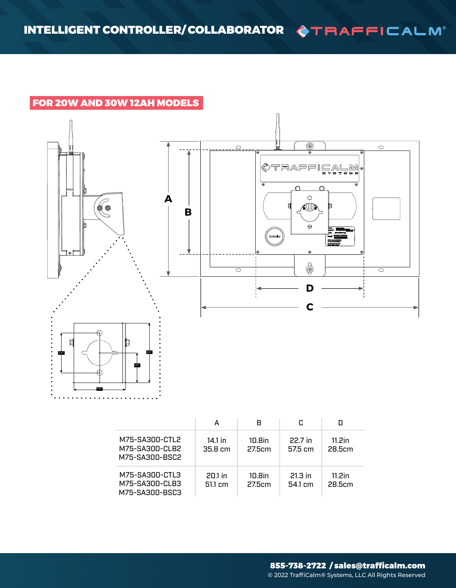## FOR 20W AND 30W 12AH MODELS



|                                                    | А                              | R                | r.                   |                  |
|----------------------------------------------------|--------------------------------|------------------|----------------------|------------------|
| M75-SA300-CTL2<br>M75-SA300-CLB2<br>M75-SA300-BSC2 | 14.1 in<br>$35.8 \text{ cm}$   | 10.8in<br>27.5cm | 22.7 in<br>575 cm    | 11.2in<br>28.5cm |
| M75-SA300-CTL3<br>M75-SA300-CLB3<br>M75-SA300-BSC3 | $20.1$ in<br>$51.1 \text{ cm}$ | 10.8in<br>27.5cm | $21.3$ in<br>54.1 cm | 11.2in<br>28.5cm |